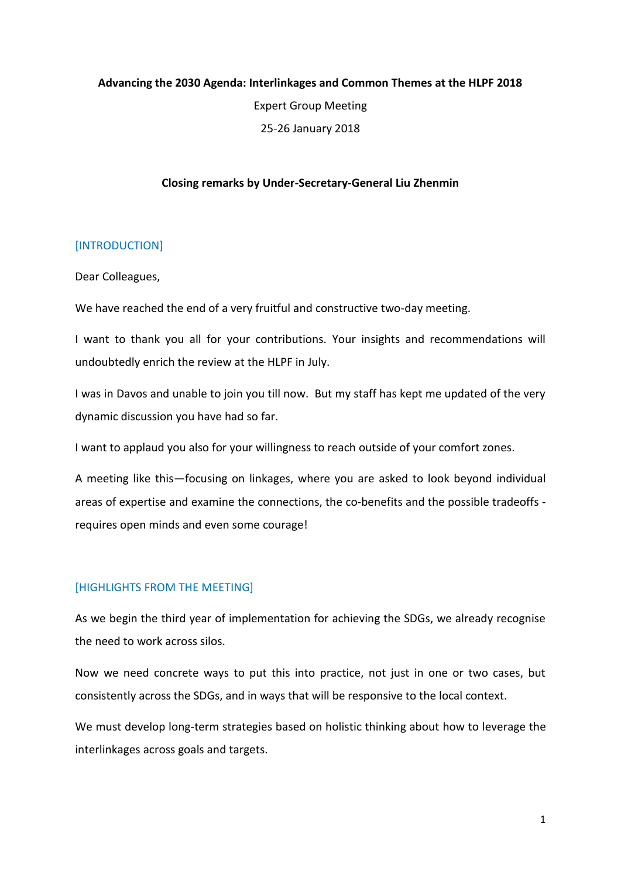## **Advancing the 2030 Agenda: Interlinkages and Common Themes at the HLPF 2018**

Expert Group Meeting 25-26 January 2018

## **Closing remarks by Under-Secretary-General Liu Zhenmin**

#### [INTRODUCTION]

Dear Colleagues,

We have reached the end of a very fruitful and constructive two-day meeting.

I want to thank you all for your contributions. Your insights and recommendations will undoubtedly enrich the review at the HLPF in July.

I was in Davos and unable to join you till now. But my staff has kept me updated of the very dynamic discussion you have had so far.

I want to applaud you also for your willingness to reach outside of your comfort zones.

A meeting like this—focusing on linkages, where you are asked to look beyond individual areas of expertise and examine the connections, the co-benefits and the possible tradeoffs requires open minds and even some courage!

## [HIGHLIGHTS FROM THE MEETING]

As we begin the third year of implementation for achieving the SDGs, we already recognise the need to work across silos.

Now we need concrete ways to put this into practice, not just in one or two cases, but consistently across the SDGs, and in ways that will be responsive to the local context.

We must develop long-term strategies based on holistic thinking about how to leverage the interlinkages across goals and targets.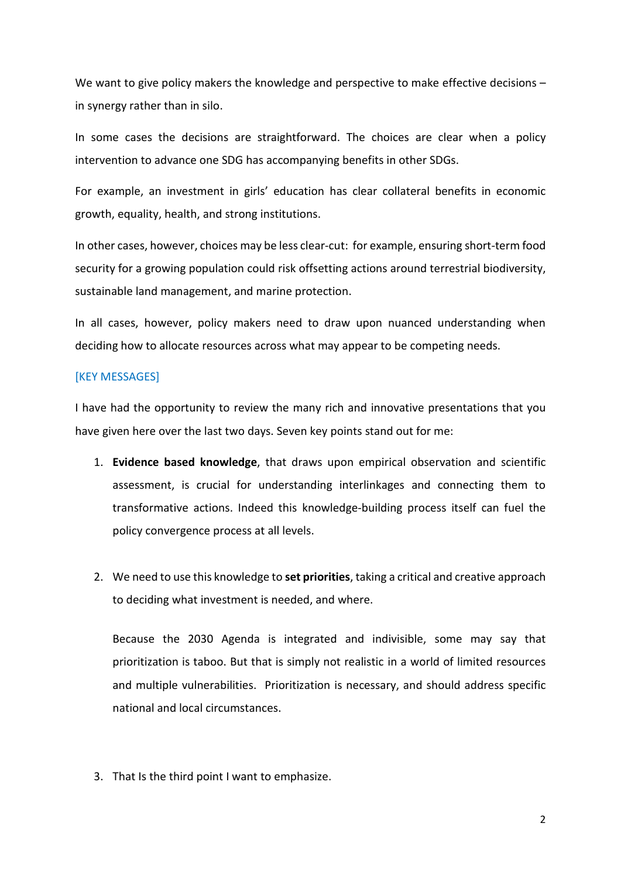We want to give policy makers the knowledge and perspective to make effective decisions – in synergy rather than in silo.

In some cases the decisions are straightforward. The choices are clear when a policy intervention to advance one SDG has accompanying benefits in other SDGs.

For example, an investment in girls' education has clear collateral benefits in economic growth, equality, health, and strong institutions.

In other cases, however, choices may be less clear-cut: for example, ensuring short-term food security for a growing population could risk offsetting actions around terrestrial biodiversity, sustainable land management, and marine protection.

In all cases, however, policy makers need to draw upon nuanced understanding when deciding how to allocate resources across what may appear to be competing needs.

#### [KEY MESSAGES]

I have had the opportunity to review the many rich and innovative presentations that you have given here over the last two days. Seven key points stand out for me:

- 1. **Evidence based knowledge**, that draws upon empirical observation and scientific assessment, is crucial for understanding interlinkages and connecting them to transformative actions. Indeed this knowledge-building process itself can fuel the policy convergence process at all levels.
- 2. We need to use this knowledge to **set priorities**, taking a critical and creative approach to deciding what investment is needed, and where.

Because the 2030 Agenda is integrated and indivisible, some may say that prioritization is taboo. But that is simply not realistic in a world of limited resources and multiple vulnerabilities. Prioritization is necessary, and should address specific national and local circumstances.

3. That Is the third point I want to emphasize.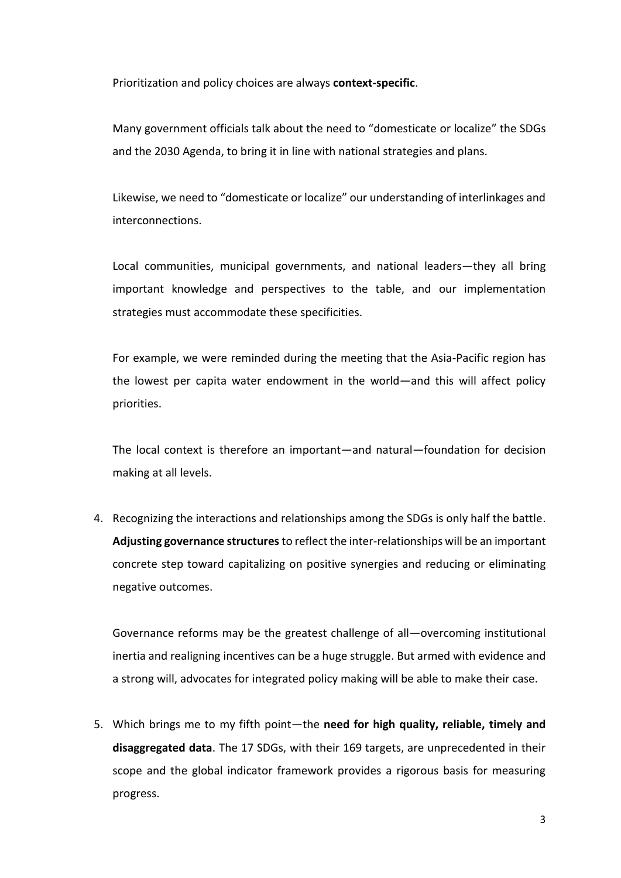Prioritization and policy choices are always **context-specific**.

Many government officials talk about the need to "domesticate or localize" the SDGs and the 2030 Agenda, to bring it in line with national strategies and plans.

Likewise, we need to "domesticate or localize" our understanding of interlinkages and interconnections.

Local communities, municipal governments, and national leaders—they all bring important knowledge and perspectives to the table, and our implementation strategies must accommodate these specificities.

For example, we were reminded during the meeting that the Asia-Pacific region has the lowest per capita water endowment in the world—and this will affect policy priorities.

The local context is therefore an important—and natural—foundation for decision making at all levels.

4. Recognizing the interactions and relationships among the SDGs is only half the battle. **Adjusting governance structures**to reflect the inter-relationships will be an important concrete step toward capitalizing on positive synergies and reducing or eliminating negative outcomes.

Governance reforms may be the greatest challenge of all—overcoming institutional inertia and realigning incentives can be a huge struggle. But armed with evidence and a strong will, advocates for integrated policy making will be able to make their case.

5. Which brings me to my fifth point—the **need for high quality, reliable, timely and disaggregated data**. The 17 SDGs, with their 169 targets, are unprecedented in their scope and the global indicator framework provides a rigorous basis for measuring progress.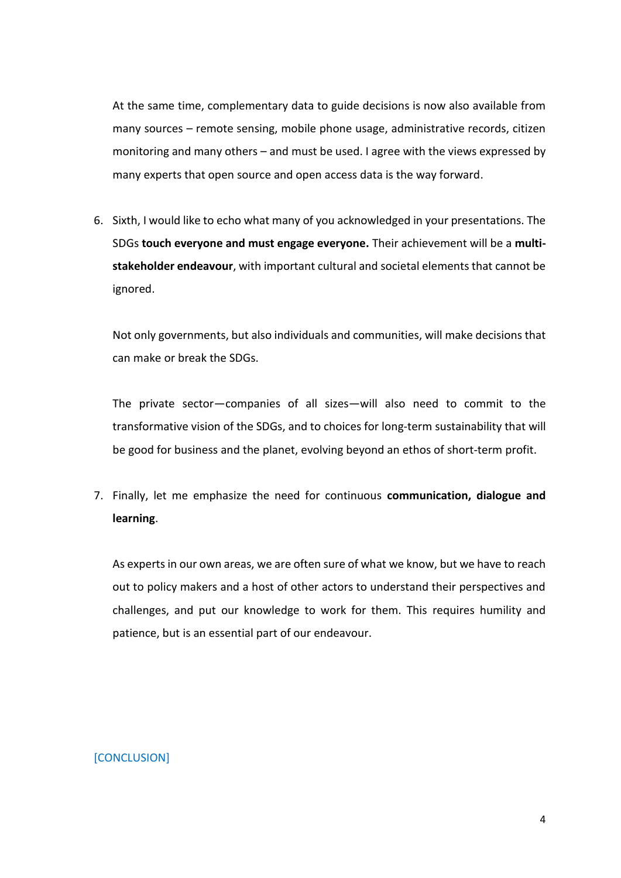At the same time, complementary data to guide decisions is now also available from many sources – remote sensing, mobile phone usage, administrative records, citizen monitoring and many others – and must be used. I agree with the views expressed by many experts that open source and open access data is the way forward.

6. Sixth, I would like to echo what many of you acknowledged in your presentations. The SDGs **touch everyone and must engage everyone.** Their achievement will be a **multistakeholder endeavour**, with important cultural and societal elements that cannot be ignored.

Not only governments, but also individuals and communities, will make decisions that can make or break the SDGs.

The private sector—companies of all sizes—will also need to commit to the transformative vision of the SDGs, and to choices for long-term sustainability that will be good for business and the planet, evolving beyond an ethos of short-term profit.

7. Finally, let me emphasize the need for continuous **communication, dialogue and learning**.

As experts in our own areas, we are often sure of what we know, but we have to reach out to policy makers and a host of other actors to understand their perspectives and challenges, and put our knowledge to work for them. This requires humility and patience, but is an essential part of our endeavour.

# [CONCLUSION]